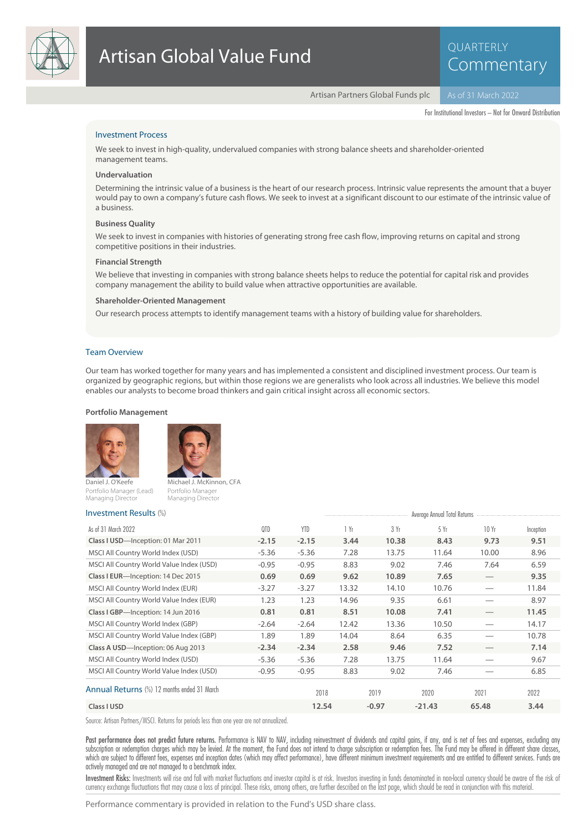

# QUARTERLY Commentary

Artisan Partners Global Funds plc

For Institutional Investors – Not for Onward Distribution

# Investment Process

We seek to invest in high-quality, undervalued companies with strong balance sheets and shareholder-oriented management teams.

#### **Undervaluation**

Determining the intrinsic value of a business is the heart of our research process. Intrinsic value represents the amount that a buyer would pay to own a company's future cash flows. We seek to invest at a significant discount to our estimate of the intrinsic value of a business.

#### **Business Quality**

We seek to invest in companies with histories of generating strong free cash flow, improving returns on capital and strong competitive positions in their industries.

#### **Financial Strength**

We believe that investing in companies with strong balance sheets helps to reduce the potential for capital risk and provides company management the ability to build value when attractive opportunities are available.

#### **Shareholder-Oriented Management**

Our research process attempts to identify management teams with a history of building value for shareholders.

## Team Overview

Our team has worked together for many years and has implemented a consistent and disciplined investment process. Our team is organized by geographic regions, but within those regions we are generalists who look across all industries. We believe this model enables our analysts to become broad thinkers and gain critical insight across all economic sectors.

### **Portfolio Management**





Portfolio Manage

Daniel J. O'Keefe Portfolio Manager (Lead) Managing Director Managing Director

# $I_n = \frac{1}{2}$   $\frac{1}{2}$   $\frac{1}{2}$   $\frac{1}{2}$   $\frac{1}{2}$   $\frac{1}{2}$   $\frac{1}{2}$   $\frac{1}{2}$   $\frac{1}{2}$   $\frac{1}{2}$   $\frac{1}{2}$   $\frac{1}{2}$   $\frac{1}{2}$   $\frac{1}{2}$   $\frac{1}{2}$   $\frac{1}{2}$   $\frac{1}{2}$   $\frac{1}{2}$   $\frac{1}{2}$   $\frac{1}{2}$   $\frac{1}{2}$   $\frac{1}{2}$

| $111V$ CSUITCHLITCSUITS                     |         | Average Annual Total Refurns |       |         |          |                                 |           |  |
|---------------------------------------------|---------|------------------------------|-------|---------|----------|---------------------------------|-----------|--|
| As of 31 March 2022                         | QTD     | <b>YTD</b>                   | 1 Yr  | 3 Yr    | 5 Yr     | 10 Yr                           | Inception |  |
| Class I USD-Inception: 01 Mar 2011          | $-2.15$ | $-2.15$                      | 3.44  | 10.38   | 8.43     | 9.73                            | 9.51      |  |
| MSCI All Country World Index (USD)          | $-5.36$ | $-5.36$                      | 7.28  | 13.75   | 11.64    | 10.00                           | 8.96      |  |
| MSCI All Country World Value Index (USD)    | $-0.95$ | $-0.95$                      | 8.83  | 9.02    | 7.46     | 7.64                            | 6.59      |  |
| Class I EUR-Inception: 14 Dec 2015          | 0.69    | 0.69                         | 9.62  | 10.89   | 7.65     | $\hspace{0.05cm}$               | 9.35      |  |
| MSCI All Country World Index (EUR)          | $-3.27$ | $-3.27$                      | 13.32 | 14.10   | 10.76    |                                 | 11.84     |  |
| MSCI All Country World Value Index (EUR)    | 1.23    | 1.23                         | 14.96 | 9.35    | 6.61     |                                 | 8.97      |  |
| Class I GBP-Inception: 14 Jun 2016          | 0.81    | 0.81                         | 8.51  | 10.08   | 7.41     | $\hspace{0.1mm}-\hspace{0.1mm}$ | 11.45     |  |
| MSCI All Country World Index (GBP)          | $-2.64$ | $-2.64$                      | 12.42 | 13.36   | 10.50    |                                 | 14.17     |  |
| MSCI All Country World Value Index (GBP)    | 1.89    | 1.89                         | 14.04 | 8.64    | 6.35     |                                 | 10.78     |  |
| Class A USD-Inception: 06 Aug 2013          | $-2.34$ | $-2.34$                      | 2.58  | 9.46    | 7.52     |                                 | 7.14      |  |
| MSCI All Country World Index (USD)          | $-5.36$ | $-5.36$                      | 7.28  | 13.75   | 11.64    |                                 | 9.67      |  |
| MSCI All Country World Value Index (USD)    | $-0.95$ | $-0.95$                      | 8.83  | 9.02    | 7.46     |                                 | 6.85      |  |
| Annual Returns (%) 12 months ended 31 March |         | 2018                         |       | 2019    | 2020     | 2021                            | 2022      |  |
| Class I USD                                 |         | 12.54                        |       | $-0.97$ | $-21.43$ | 65.48                           | 3.44      |  |

Source: Artisan Partners/MSCI. Returns for periods less than one year are not annualized.

Past performance does not predict future returns. Performance is NAV to NAV, including reinvestment of dividends and capital gains, if any, and is net of fees and expenses, excluding any subscription or redemption charges which may be levied. At the moment, the Fund does not intend to charge subscription or redemption fees. The Fund may be offered in different share classes, which are subject to different fees, expenses and inception dates (which may affect performance), have different minimum investment requirements and are entitled to different services. Funds are actively managed and are not managed to a benchmark index.

Investment Risks: Investments will rise and fall with market fluctuations and investor capital is at risk. Investors investing in funds denominated in non-local currency should be aware of the risk of currency exchange fluctuations that may cause a loss of principal. These risks, among others, are further described on the last page, which should be read in conjunction with this material.

Performance commentary is provided in relation to the Fund's USD share class.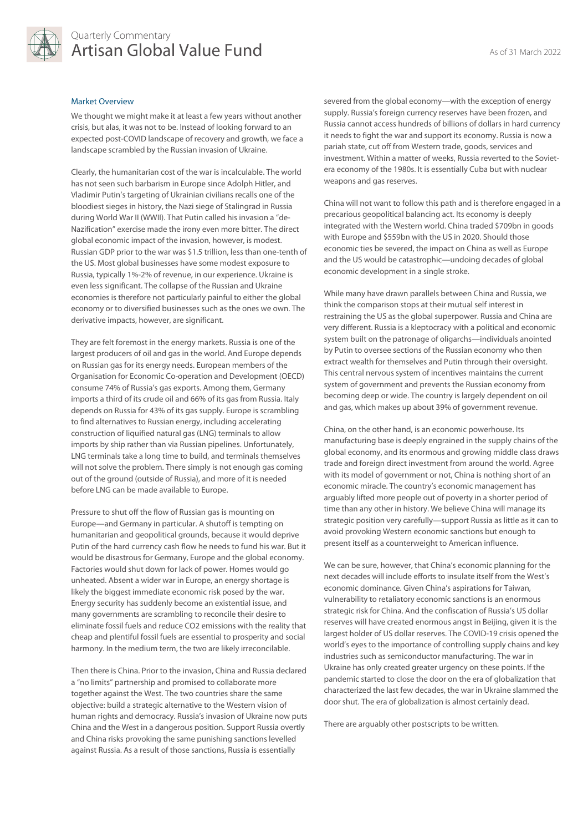

# Quarterly Commentary Artisan Global Value Fund As of 31 March 2022

# Market Overview

We thought we might make it at least a few years without another crisis, but alas, it was not to be. Instead of looking forward to an expected post-COVID landscape of recovery and growth, we face a landscape scrambled by the Russian invasion of Ukraine.

Clearly, the humanitarian cost of the war is incalculable. The world has not seen such barbarism in Europe since Adolph Hitler, and Vladimir Putin's targeting of Ukrainian civilians recalls one of the bloodiest sieges in history, the Nazi siege of Stalingrad in Russia during World War II (WWII). That Putin called his invasion a "de-Nazification" exercise made the irony even more bitter. The direct global economic impact of the invasion, however, is modest. Russian GDP prior to the war was \$1.5 trillion, less than one-tenth of the US. Most global businesses have some modest exposure to Russia, typically 1%-2% of revenue, in our experience. Ukraine is even less significant. The collapse of the Russian and Ukraine economies is therefore not particularly painful to either the global economy or to diversified businesses such as the ones we own. The derivative impacts, however, are significant.

They are felt foremost in the energy markets. Russia is one of the largest producers of oil and gas in the world. And Europe depends on Russian gas for its energy needs. European members of the Organisation for Economic Co-operation and Development (OECD) consume 74% of Russia's gas exports. Among them, Germany imports a third of its crude oil and 66% of its gas from Russia. Italy depends on Russia for 43% of its gas supply. Europe is scrambling to find alternatives to Russian energy, including accelerating construction of liquified natural gas (LNG) terminals to allow imports by ship rather than via Russian pipelines. Unfortunately, LNG terminals take a long time to build, and terminals themselves will not solve the problem. There simply is not enough gas coming out of the ground (outside of Russia), and more of it is needed before LNG can be made available to Europe.

Pressure to shut off the flow of Russian gas is mounting on Europe—and Germany in particular. A shutoff is tempting on humanitarian and geopolitical grounds, because it would deprive Putin of the hard currency cash flow he needs to fund his war. But it would be disastrous for Germany, Europe and the global economy. Factories would shut down for lack of power. Homes would go unheated. Absent a wider war in Europe, an energy shortage is likely the biggest immediate economic risk posed by the war. Energy security has suddenly become an existential issue, and many governments are scrambling to reconcile their desire to eliminate fossil fuels and reduce CO2 emissions with the reality that cheap and plentiful fossil fuels are essential to prosperity and social harmony. In the medium term, the two are likely irreconcilable.

Then there is China. Prior to the invasion, China and Russia declared a "no limits" partnership and promised to collaborate more together against the West. The two countries share the same objective: build a strategic alternative to the Western vision of human rights and democracy. Russia's invasion of Ukraine now puts China and the West in a dangerous position. Support Russia overtly and China risks provoking the same punishing sanctions levelled against Russia. As a result of those sanctions, Russia is essentially

severed from the global economy—with the exception of energy supply. Russia's foreign currency reserves have been frozen, and Russia cannot access hundreds of billions of dollars in hard currency it needs to fight the war and support its economy. Russia is now a pariah state, cut off from Western trade, goods, services and investment. Within a matter of weeks, Russia reverted to the Sovietera economy of the 1980s. It is essentially Cuba but with nuclear weapons and gas reserves.

China will not want to follow this path and is therefore engaged in a precarious geopolitical balancing act. Its economy is deeply integrated with the Western world. China traded \$709bn in goods with Europe and \$559bn with the US in 2020. Should those economic ties be severed, the impact on China as well as Europe and the US would be catastrophic—undoing decades of global economic development in a single stroke.

While many have drawn parallels between China and Russia, we think the comparison stops at their mutual self interest in restraining the US as the global superpower. Russia and China are very different. Russia is a kleptocracy with a political and economic system built on the patronage of oligarchs—individuals anointed by Putin to oversee sections of the Russian economy who then extract wealth for themselves and Putin through their oversight. This central nervous system of incentives maintains the current system of government and prevents the Russian economy from becoming deep or wide. The country is largely dependent on oil and gas, which makes up about 39% of government revenue.

China, on the other hand, is an economic powerhouse. Its manufacturing base is deeply engrained in the supply chains of the global economy, and its enormous and growing middle class draws trade and foreign direct investment from around the world. Agree with its model of government or not, China is nothing short of an economic miracle. The country's economic management has arguably lifted more people out of poverty in a shorter period of time than any other in history. We believe China will manage its strategic position very carefully—support Russia as little as it can to avoid provoking Western economic sanctions but enough to present itself as a counterweight to American influence.

We can be sure, however, that China's economic planning for the next decades will include efforts to insulate itself from the West's economic dominance. Given China's aspirations for Taiwan, vulnerability to retaliatory economic sanctions is an enormous strategic risk for China. And the confiscation of Russia's US dollar reserves will have created enormous angst in Beijing, given it is the largest holder of US dollar reserves. The COVID-19 crisis opened the world's eyes to the importance of controlling supply chains and key industries such as semiconductor manufacturing. The war in Ukraine has only created greater urgency on these points. If the pandemic started to close the door on the era of globalization that characterized the last few decades, the war in Ukraine slammed the door shut. The era of globalization is almost certainly dead.

There are arguably other postscripts to be written.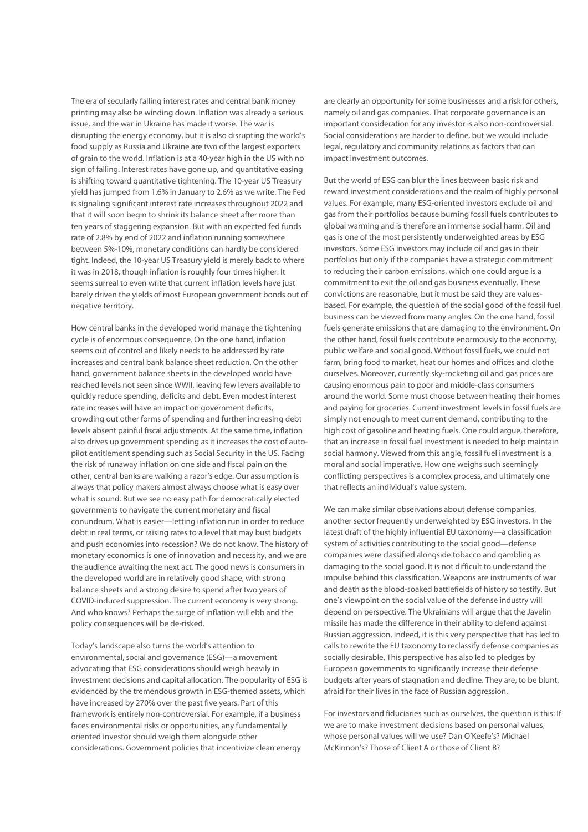The era of secularly falling interest rates and central bank money printing may also be winding down. Inflation was already a serious issue, and the war in Ukraine has made it worse. The war is disrupting the energy economy, but it is also disrupting the world's food supply as Russia and Ukraine are two of the largest exporters of grain to the world. Inflation is at a 40-year high in the US with no sign of falling. Interest rates have gone up, and quantitative easing is shifting toward quantitative tightening. The 10-year US Treasury yield has jumped from 1.6% in January to 2.6% as we write. The Fed is signaling significant interest rate increases throughout 2022 and that it will soon begin to shrink its balance sheet after more than ten years of staggering expansion. But with an expected fed funds rate of 2.8% by end of 2022 and inflation running somewhere between 5%-10%, monetary conditions can hardly be considered tight. Indeed, the 10-year US Treasury yield is merely back to where it was in 2018, though inflation is roughly four times higher. It seems surreal to even write that current inflation levels have just barely driven the yields of most European government bonds out of negative territory.

How central banks in the developed world manage the tightening cycle is of enormous consequence. On the one hand, inflation seems out of control and likely needs to be addressed by rate increases and central bank balance sheet reduction. On the other hand, government balance sheets in the developed world have reached levels not seen since WWII, leaving few levers available to quickly reduce spending, deficits and debt. Even modest interest rate increases will have an impact on government deficits, crowding out other forms of spending and further increasing debt levels absent painful fiscal adjustments. At the same time, inflation also drives up government spending as it increases the cost of autopilot entitlement spending such as Social Security in the US. Facing the risk of runaway inflation on one side and fiscal pain on the other, central banks are walking a razor's edge. Our assumption is always that policy makers almost always choose what is easy over what is sound. But we see no easy path for democratically elected governments to navigate the current monetary and fiscal conundrum. What is easier—letting inflation run in order to reduce debt in real terms, or raising rates to a level that may bust budgets and push economies into recession? We do not know. The history of monetary economics is one of innovation and necessity, and we are the audience awaiting the next act. The good news is consumers in the developed world are in relatively good shape, with strong balance sheets and a strong desire to spend after two years of COVID-induced suppression. The current economy is very strong. And who knows? Perhaps the surge of inflation will ebb and the policy consequences will be de-risked.

Today's landscape also turns the world's attention to environmental, social and governance (ESG)—a movement advocating that ESG considerations should weigh heavily in investment decisions and capital allocation. The popularity of ESG is evidenced by the tremendous growth in ESG-themed assets, which have increased by 270% over the past five years. Part of this framework is entirely non-controversial. For example, if a business faces environmental risks or opportunities, any fundamentally oriented investor should weigh them alongside other considerations. Government policies that incentivize clean energy

are clearly an opportunity for some businesses and a risk for others, namely oil and gas companies. That corporate governance is an important consideration for any investor is also non-controversial. Social considerations are harder to define, but we would include legal, regulatory and community relations as factors that can impact investment outcomes.

But the world of ESG can blur the lines between basic risk and reward investment considerations and the realm of highly personal values. For example, many ESG-oriented investors exclude oil and gas from their portfolios because burning fossil fuels contributes to global warming and is therefore an immense social harm. Oil and gas is one of the most persistently underweighted areas by ESG investors. Some ESG investors may include oil and gas in their portfolios but only if the companies have a strategic commitment to reducing their carbon emissions, which one could argue is a commitment to exit the oil and gas business eventually. These convictions are reasonable, but it must be said they are valuesbased. For example, the question of the social good of the fossil fuel business can be viewed from many angles. On the one hand, fossil fuels generate emissions that are damaging to the environment. On the other hand, fossil fuels contribute enormously to the economy, public welfare and social good. Without fossil fuels, we could not farm, bring food to market, heat our homes and offices and clothe ourselves. Moreover, currently sky-rocketing oil and gas prices are causing enormous pain to poor and middle-class consumers around the world. Some must choose between heating their homes and paying for groceries. Current investment levels in fossil fuels are simply not enough to meet current demand, contributing to the high cost of gasoline and heating fuels. One could argue, therefore, that an increase in fossil fuel investment is needed to help maintain social harmony. Viewed from this angle, fossil fuel investment is a moral and social imperative. How one weighs such seemingly conflicting perspectives is a complex process, and ultimately one that reflects an individual's value system.

We can make similar observations about defense companies, another sector frequently underweighted by ESG investors. In the latest draft of the highly influential EU taxonomy—a classification system of activities contributing to the social good—defense companies were classified alongside tobacco and gambling as damaging to the social good. It is not difficult to understand the impulse behind this classification. Weapons are instruments of war and death as the blood-soaked battlefields of history so testify. But one's viewpoint on the social value of the defense industry will depend on perspective. The Ukrainians will argue that the Javelin missile has made the difference in their ability to defend against Russian aggression. Indeed, it is this very perspective that has led to calls to rewrite the EU taxonomy to reclassify defense companies as socially desirable. This perspective has also led to pledges by European governments to significantly increase their defense budgets after years of stagnation and decline. They are, to be blunt, afraid for their lives in the face of Russian aggression.

For investors and fiduciaries such as ourselves, the question is this: If we are to make investment decisions based on personal values, whose personal values will we use? Dan O'Keefe's? Michael McKinnon's? Those of Client A or those of Client B?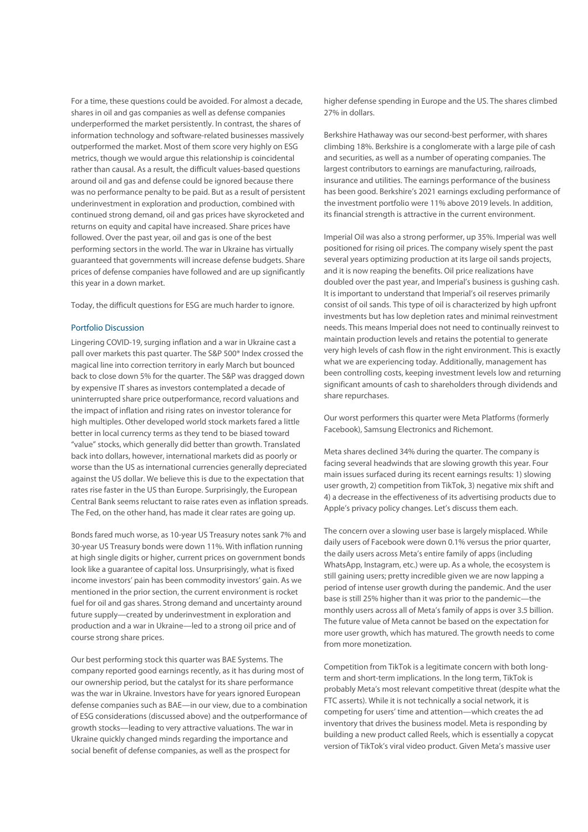For a time, these questions could be avoided. For almost a decade, shares in oil and gas companies as well as defense companies underperformed the market persistently. In contrast, the shares of information technology and software-related businesses massively outperformed the market. Most of them score very highly on ESG metrics, though we would argue this relationship is coincidental rather than causal. As a result, the difficult values-based questions around oil and gas and defense could be ignored because there was no performance penalty to be paid. But as a result of persistent underinvestment in exploration and production, combined with continued strong demand, oil and gas prices have skyrocketed and returns on equity and capital have increased. Share prices have followed. Over the past year, oil and gas is one of the best performing sectors in the world. The war in Ukraine has virtually guaranteed that governments will increase defense budgets. Share prices of defense companies have followed and are up significantly this year in a down market.

Today, the difficult questions for ESG are much harder to ignore.

# Portfolio Discussion

Lingering COVID-19, surging inflation and a war in Ukraine cast a pall over markets this past quarter. The S&P 500® Index crossed the magical line into correction territory in early March but bounced back to close down 5% for the quarter. The S&P was dragged down by expensive IT shares as investors contemplated a decade of uninterrupted share price outperformance, record valuations and the impact of inflation and rising rates on investor tolerance for high multiples. Other developed world stock markets fared a little better in local currency terms as they tend to be biased toward "value" stocks, which generally did better than growth. Translated back into dollars, however, international markets did as poorly or worse than the US as international currencies generally depreciated against the US dollar. We believe this is due to the expectation that rates rise faster in the US than Europe. Surprisingly, the European Central Bank seems reluctant to raise rates even as inflation spreads. The Fed, on the other hand, has made it clear rates are going up.

Bonds fared much worse, as 10-year US Treasury notes sank 7% and 30-year US Treasury bonds were down 11%. With inflation running at high single digits or higher, current prices on government bonds look like a guarantee of capital loss. Unsurprisingly, what is fixed income investors' pain has been commodity investors' gain. As we mentioned in the prior section, the current environment is rocket fuel for oil and gas shares. Strong demand and uncertainty around future supply—created by underinvestment in exploration and production and a war in Ukraine—led to a strong oil price and of course strong share prices.

Our best performing stock this quarter was BAE Systems. The company reported good earnings recently, as it has during most of our ownership period, but the catalyst for its share performance was the war in Ukraine. Investors have for years ignored European defense companies such as BAE—in our view, due to a combination of ESG considerations (discussed above) and the outperformance of growth stocks—leading to very attractive valuations. The war in Ukraine quickly changed minds regarding the importance and social benefit of defense companies, as well as the prospect for

higher defense spending in Europe and the US. The shares climbed 27% in dollars.

Berkshire Hathaway was our second-best performer, with shares climbing 18%. Berkshire is a conglomerate with a large pile of cash and securities, as well as a number of operating companies. The largest contributors to earnings are manufacturing, railroads, insurance and utilities. The earnings performance of the business has been good. Berkshire's 2021 earnings excluding performance of the investment portfolio were 11% above 2019 levels. In addition, its financial strength is attractive in the current environment.

Imperial Oil was also a strong performer, up 35%. Imperial was well positioned for rising oil prices. The company wisely spent the past several years optimizing production at its large oil sands projects, and it is now reaping the benefits. Oil price realizations have doubled over the past year, and Imperial's business is gushing cash. It is important to understand that Imperial's oil reserves primarily consist of oil sands. This type of oil is characterized by high upfront investments but has low depletion rates and minimal reinvestment needs. This means Imperial does not need to continually reinvest to maintain production levels and retains the potential to generate very high levels of cash flow in the right environment. This is exactly what we are experiencing today. Additionally, management has been controlling costs, keeping investment levels low and returning significant amounts of cash to shareholders through dividends and share repurchases.

Our worst performers this quarter were Meta Platforms (formerly Facebook), Samsung Electronics and Richemont.

Meta shares declined 34% during the quarter. The company is facing several headwinds that are slowing growth this year. Four main issues surfaced during its recent earnings results: 1) slowing user growth, 2) competition from TikTok, 3) negative mix shift and 4) a decrease in the effectiveness of its advertising products due to Apple's privacy policy changes. Let's discuss them each.

The concern over a slowing user base is largely misplaced. While daily users of Facebook were down 0.1% versus the prior quarter, the daily users across Meta's entire family of apps (including WhatsApp, Instagram, etc.) were up. As a whole, the ecosystem is still gaining users; pretty incredible given we are now lapping a period of intense user growth during the pandemic. And the user base is still 25% higher than it was prior to the pandemic—the monthly users across all of Meta's family of apps is over 3.5 billion. The future value of Meta cannot be based on the expectation for more user growth, which has matured. The growth needs to come from more monetization.

Competition from TikTok is a legitimate concern with both longterm and short-term implications. In the long term, TikTok is probably Meta's most relevant competitive threat (despite what the FTC asserts). While it is not technically a social network, it is competing for users' time and attention—which creates the ad inventory that drives the business model. Meta is responding by building a new product called Reels, which is essentially a copycat version of TikTok's viral video product. Given Meta's massive user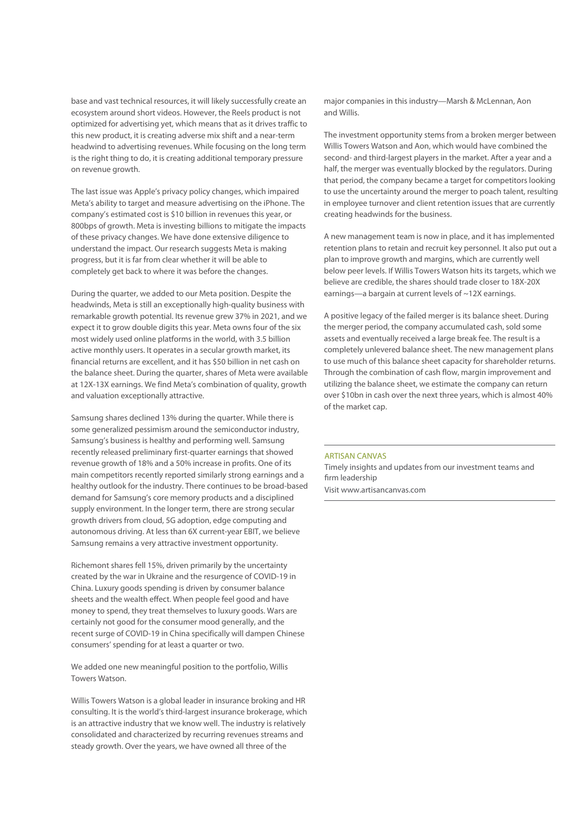base and vast technical resources, it will likely successfully create an ecosystem around short videos. However, the Reels product is not optimized for advertising yet, which means that as it drives traffic to this new product, it is creating adverse mix shift and a near-term headwind to advertising revenues. While focusing on the long term is the right thing to do, it is creating additional temporary pressure on revenue growth.

The last issue was Apple's privacy policy changes, which impaired Meta's ability to target and measure advertising on the iPhone. The company's estimated cost is \$10 billion in revenues this year, or 800bps of growth. Meta is investing billions to mitigate the impacts of these privacy changes. We have done extensive diligence to understand the impact. Our research suggests Meta is making progress, but it is far from clear whether it will be able to completely get back to where it was before the changes.

During the quarter, we added to our Meta position. Despite the headwinds, Meta is still an exceptionally high-quality business with remarkable growth potential. Its revenue grew 37% in 2021, and we expect it to grow double digits this year. Meta owns four of the six most widely used online platforms in the world, with 3.5 billion active monthly users. It operates in a secular growth market, its financial returns are excellent, and it has \$50 billion in net cash on the balance sheet. During the quarter, shares of Meta were available at 12X-13X earnings. We find Meta's combination of quality, growth and valuation exceptionally attractive.

Samsung shares declined 13% during the quarter. While there is some generalized pessimism around the semiconductor industry, Samsung's business is healthy and performing well. Samsung recently released preliminary first-quarter earnings that showed revenue growth of 18% and a 50% increase in profits. One of its main competitors recently reported similarly strong earnings and a healthy outlook for the industry. There continues to be broad-based demand for Samsung's core memory products and a disciplined supply environment. In the longer term, there are strong secular growth drivers from cloud, 5G adoption, edge computing and autonomous driving. At less than 6X current-year EBIT, we believe Samsung remains a very attractive investment opportunity.

Richemont shares fell 15%, driven primarily by the uncertainty created by the war in Ukraine and the resurgence of COVID-19 in China. Luxury goods spending is driven by consumer balance sheets and the wealth effect. When people feel good and have money to spend, they treat themselves to luxury goods. Wars are certainly not good for the consumer mood generally, and the recent surge of COVID-19 in China specifically will dampen Chinese consumers' spending for at least a quarter or two.

We added one new meaningful position to the portfolio, Willis Towers Watson.

Willis Towers Watson is a global leader in insurance broking and HR consulting. It is the world's third-largest insurance brokerage, which is an attractive industry that we know well. The industry is relatively consolidated and characterized by recurring revenues streams and steady growth. Over the years, we have owned all three of the

major companies in this industry—Marsh & McLennan, Aon and Willis.

The investment opportunity stems from a broken merger between Willis Towers Watson and Aon, which would have combined the second- and third-largest players in the market. After a year and a half, the merger was eventually blocked by the regulators. During that period, the company became a target for competitors looking to use the uncertainty around the merger to poach talent, resulting in employee turnover and client retention issues that are currently creating headwinds for the business.

A new management team is now in place, and it has implemented retention plans to retain and recruit key personnel. It also put out a plan to improve growth and margins, which are currently well below peer levels. If Willis Towers Watson hits its targets, which we believe are credible, the shares should trade closer to 18X-20X earnings—a bargain at current levels of ~12X earnings.

A positive legacy of the failed merger is its balance sheet. During the merger period, the company accumulated cash, sold some assets and eventually received a large break fee. The result is a completely unlevered balance sheet. The new management plans to use much of this balance sheet capacity for shareholder returns. Through the combination of cash flow, margin improvement and utilizing the balance sheet, we estimate the company can return over \$10bn in cash over the next three years, which is almost 40% of the market cap.

#### ARTISAN CANVAS

Timely insights and updates from our investment teams and firm leadership Visit www.artisancanvas.com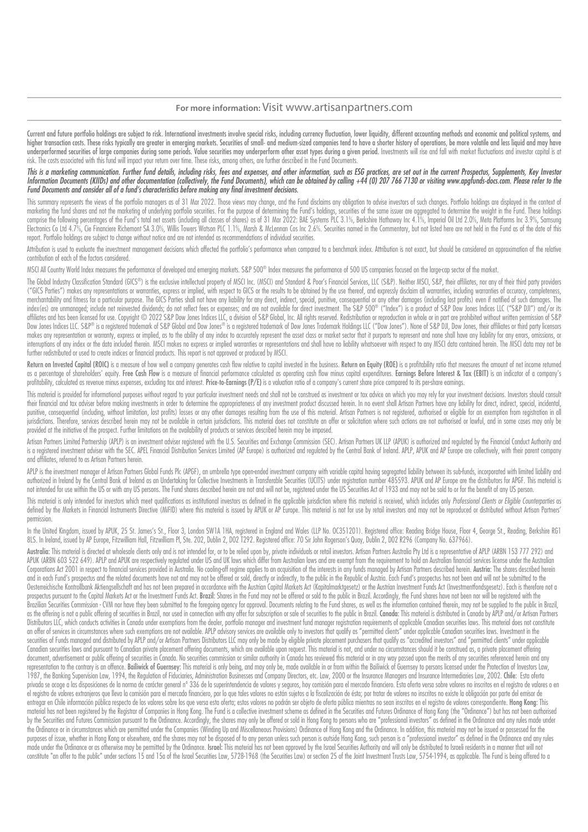# **For more information:** Visit www.artisanpartners.com

Current and future portfolio holdinas are subiect to risk. International investments involve special risks, includina currency fluctuation, lower liquidity, different accountina methods and economic and political systems, higher transaction costs. These risks typically are greater in emerging markets. Securities of small- and medium-sized companies tend to have a shorter history of operations, be more volatile and less liquid and may have underperformed securities of large companies during some periods. Value securities may underperform other asset types during a given period. Investments will rise and fall with market fluctuations and investor capital is a risk. The costs associated with this fund will impact your return over time. These risks, among others, are further described in the Fund Documents.

# This is a marketing communication. Further fund details, including risks, fees and expenses, and other information, such as ESG practices, are set out in the current Prospectus, Supplements, Key Investor Information Documents (KIIDs) and other documentation (collectively, the Fund Documents), which can be obtained by calling +44 (0) 207 766 7130 or visiting www.apgfunds-docs.com. Please refer to the Fund Documents and consider all of a fund's characteristics before making any final investment decisions.

This summary represents the views of the portfolio managers as of 31 Mar 2022. Those views may change, and the Fund disclaims any obligation to advise investors of such changes. Portfolio holdings are displayed in the cont marketing the fund shares and not the marketing of underlying portfolio securities. For the purpose of determining the Fund's holdings, securities of the same issuer are aggregated to determine the weight in the Fund. Thes comprise the following percentages of the Fund's total net assets (including all classes of shares) as of 31 Mar 2022: BAE Systems PLC 3.1%. Berkshire Hathaway Inc 4.1%. Imperial Oil Ltd 2.0%. Meta Platforms Inc 3.9%. Sams Electronics Co Ltd 4.7%, Cie Financiere Richemont SA 3.0%, Willis Towers Watson PLC 1.1%, Marsh & McLennan Cos Inc 2.6%. Securities named in the Commentary, but not listed here are not held in the Fund as of the date of th report. Portfolio holdings are subject to change without notice and are not intended as recommendations of individual securities.

Attribution is used to evaluate the investment management decisions which affected the portfolio's performance when compared to a benchmark index. Attribution is not exact, but should be considered an approximation of the contribution of each of the factors considered.

MSCI All Country World Index measures the performance of developed and emerging markets. S&P 500® Index measures the performance of 500 US companies focused on the large-cap sector of the market.

The Global Industry Classification Standard (GICS®) is the exclusive intellectual property of MSCI Inc. (MSCI) and Standard & Poor's Financial Services, LLC (S&P). Neither MSCI, S&P, their affiliates, nor any of their thir ("GICS Parties") makes any representations or warranties, express or implied, with respect to GICS or the results to be obtained by the use thereof, and expressly disclaim all warranties, including warranties of accuracy, merchantability and fitness for a particular purpose. The GICS Parties shall not have any liability for any direct. indirect. special, punitive, consequential or any other damages (including lost profits) even if notified index(es) are unmanaged; include net reinvested dividends; do not reflect fees or expenses; and are not available for direct investment. The S&P 500® ("Index") is a product of S&P Dow Jones Indices LLC ("S&P DJI") and/or i affiliates and has been licensed for use. Copyright © 2022 S&P Dow Jones Indices LLC, a division of S&P Global, Inc. All rights reserved. Redistribution or reproduction in whole or in part are prohibited without written pe Dow Jones Indices LLC. S&P® is a registered trademark of S&P Global and Dow Jones® is a registered trademark of Dow Jones Trademark Holdings LLC ("Dow Jones"). None of S&P DJI, Dow Jones, their affiliates or third party li makes any representation or warranty, express or implied, as to the ability of any index to accurately represent the asset class or market sector that it purports to represent and none shall have any liability for any erro interruptions of any index or the data included therein. MSCI makes no express or implied warranties or representations and shall have no liability whatsoever with respect to any MSCI data contained herein. The MSCI data m further redistributed or used to create indices or financial products. This report is not approved or produced by MSCI.

Return on Invested Capital (ROIC) is a measure of how well a company generates cash flow relative to capital invested in the business. Return on Equity (ROE) is a profitability ratio that measures the amount of net income as a percentage of shareholders' equity. Free Cash Flow is a measure of financial performance calculated as operating cash flow minus capital expenditures. Earnings Before Interest & Tax (EBIT) is an indicator of a company profitability, calculated as revenue minus expenses, excluding tax and interest. Price-to-Earnings (P/E) is a valuation ratio of a company's current share price compared to its per-share earnings.

This material is provided for informational purposes without regard to your particular investment needs and shall not be construed as investment or tax advice on which you may rely for your investment decisions. Investors their financial and tax adviser before making investments in order to determine the appropriateness of any investment product discussed herein. In no event shall Artisan Partners have any liability for direct, indirect, sp punitive, consequential (including, without limitation, lost profits) losses or any other damages resulting from the use of this material. Artisan Partners is not registered, authorised or eligible for an exemption from re jurisdictions. Therefore, services described herein may not be available in certain jurisdictions. This material does not constitute an offer or solicitation where such actions are not authorised or lawful, and in some cas provided at the initiative of the prospect. Further limitations on the availability of products or services described herein may be imposed.

Artison Partners Limited Partnership (APIP) is an investment adviser registered with the U.S. Securities and Exchange Commission (SEC) Artison Partners UK UP (APUK) is authorized and regulated by the Financial Conduct Auth is a registered investment adviser with the SEC. APEL Financial Distribution Services Limited (AP Europe) is authorized and regulated by the Central Bank of Ireland. APIP, APUK and AP Europe are collectively, with their pa and affiliates, referred to as Artisan Partners herein.

APLP is the investment manager of Artisan Partners Global Funds Plc (APGF), an umbrella type open-ended investment company with variable capital having segregated ligbility between its sub-funds, incorporated with limited authorized in Telegrad by the Central Bank of Ireland as an Undertoking for Collective Investments in Transferable Securities (UCITS) under registration number 485593. APUK and AP Europe are the distributors for APGF. This not intended for use within the US or with any US persons. The Fund shares described herein are not and will not be, registered under the US Securities Act of 1933 and may not be sold to or for the benefit of any US person.

This material is only intended for investors which meet qualifications as institutional investors as defined in the applicable jurisdiction where this material is received, which includes only Professional Clients or Eligi defined by the Markets in Financial Instruments Directive (MiFID) where this material is issued by APUK or AP Europe. This material is not for use by retail investors and may not be reproduced or distributed without Artisa permission.

In the United Kingdom, issued by APUK, 25 St. James's St., Floor 3, London SW1A 1HA, registered in England and Wales (LLP No. OC351201). Registered office: Reading Bridge House, Floor 4, George St., Reading, Berkshire RG1 8LS. In Ireland, issued by AP Europe, Fitzwilliam Hall, Fitzwilliam Pl, Ste. 202, Dublin 2, D02 T292. Registered office: 70 Sir John Rogerson's Quay, Dublin 2, D02 R296 (Company No. 637966).

Australia: This material is directed at wholesale clients only and is not intended for, or to be relied upon by, private individuals or retail investors. Artisan Partners Australia Pty Ltd is a representative of APLP (ARBN APUK (ARBN 603 522 649). APLP and APUK are respectively regulated under US and UK laws which differ from Australian laws and are exempt from the requirement to hold an Australian financial services license under the Austra Corporations Act 2001 in respect to financial services provided in Australia. No cooling-off regime applies to an acquisition of the interests in any funds managed by Artisan Partners described herein. Austria: The shares and in each Fund's prospectus and the related documents have not and may not be offered or sold, directly or indirectly, to the public in the Republic of Austria. Each Fund's prospectus has not been and will not be submitt Oesterreichische Kontrollbank Aktiengsellschaft and has not been prepared in accordance with the Austrian Capital Markets Act (Kapitalmarktgesetz) or the Austrian Investment Funds Act (Investmentfondsgesetz). Each is there prospectus pursuant to the Capital Markets Act or the Investment Funds Act. Brazil: Shares in the Fund may not be offered or sold to the public in Brazil. Accordingly, the Fund shares have not been nor will be registered w Brazilian Securities Commission - CVM nor have they been submitted to the foreaoing gaency for approval. Documents relating to the Fund shares, as well as the information contained therein, may not be supplied to the publi as the offering is not a public offering of securities in Brazil, por used in connection with any offer for subscription or sale of securities to the public in Brazil, Conneda: This material is distributed in Conneda WAPIP Distributors LLC, which conducts activities in Canada under exemptions from the dealer, portfolio manager and investment fund manager registration requirements of applicable Canadian securities laws. This material does not an offer of services in circumstances where such exemptions are not available. APLP advisory services are available only to investors that qualify as "permitted clients" under applicable Canadian securities laws. Investmen securities of Funds managed and distributed by APLP and/or Artisan Partners Distributors LLC may only be made by eligible private placement purchasers that qualify as "accredited investors" and "permitted clients" under ap Canadian securities laws and pursuant to Canadian private placement offering documents, which are available upon request. This material is not, and under no circumstances should it be construed as, a private placement offe document, advertisement or public offering of securities in Canada. No securities commission or similar authority in Canada has reviewed this material or in any way passed upon the merits of any securities referenced herei representation to the contrary is an offence. Bailiwick of Guernsey: This material is only being, and may only be, made available in or from within the Bailiwick of Guernsey to persons licensed under the Protection of Inve 1987, the Banking Supervision Law, 1994, the Regulation of Fiduciaries, Administration Businesses and Company Directors, etc. Law, 2000 or the Insurance Managers and Insurance Intermediaries Law, 2002. Chile: Esta oferta privada se acoge a las disposiciones de la norma de carácter general nº 336 de la superintendencia de valores y seguros, hoy comisión para el mercado financiero. Esta oferta versa sobre valores no inscritos en el registro el registro de valores extranieros que lleva la comisión para el mercado financiero, por lo que tales valores no están sujetos a la fiscalización de ésta: por tratar de valores no inscritos no existe la obligación por part entregar en Chile información pública respecto de los valores sobre los que versa esta oferta: estos valores no podrán ser obieto de oferta pública mientras no sean inscritos en el registro de valores correspondiente. Hona material has not been registered by the Registrar of Companies in Hong Kong. The Fund is a collective investment scheme as defined in the Securities and Futures Ordinance of Hong Kong (the "Ordinance") but has not been aut by the Securities and Futures Commission pursuant to the Ordinance. Accordinaly, the shares may only be offered or sold in Hong Kong to persons who are "professional investors" as defined in the Ordinance and any rules mad the Ordinance or in circumstances which are permitted under the Companies (Winding Up and Miscellaneous Provisions) Ordinance of Hong Kong and the Ordinance. In addition, this material may not be issued or possessed for the purposes of issue, whether in Hong Kong or elsewhere, and the shares may not be disposed of to any person unless such person is outside Hong Kong, such person is a "professional investor" as defined in the Ordinance and an made under the Ordinance or as otherwise may be permitted by the Ordinance. Israel: This material has not been approved by the Israel Securities Authority and will only be distributed to Israeli residents in a manner that constitute "an offer to the public" under sections 15 and 15a of the Israel Securities Law, 5728-1968 (the Securities Law) or section 25 of the Joint Investment Trusts Law, 5754-1994, as applicable. The Fund is being offer